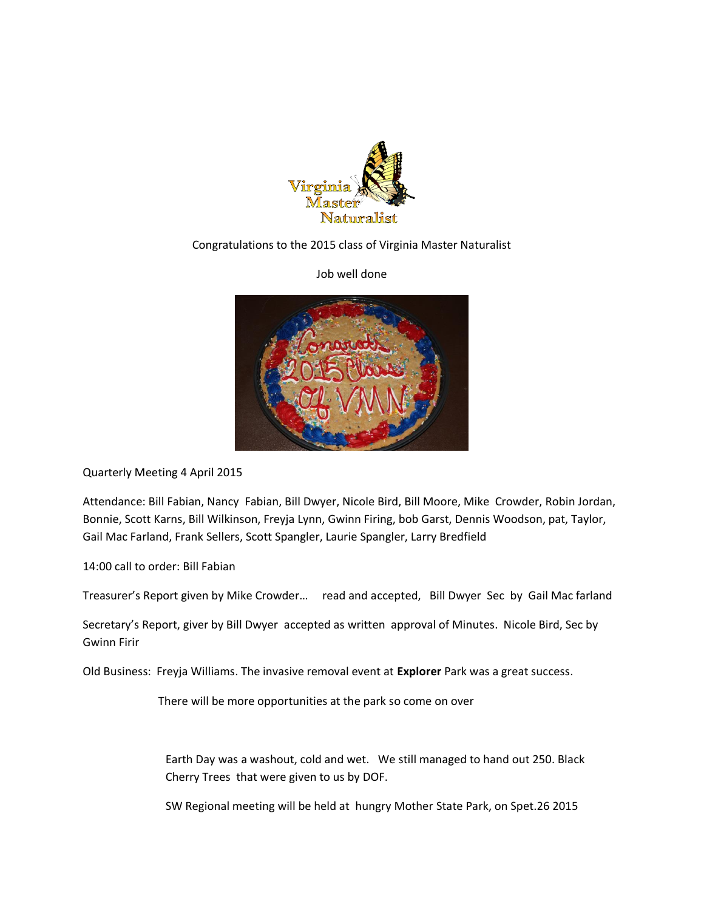

## Congratulations to the 2015 class of Virginia Master Naturalist

Job well done



Quarterly Meeting 4 April 2015

Attendance: Bill Fabian, Nancy Fabian, Bill Dwyer, Nicole Bird, Bill Moore, Mike Crowder, Robin Jordan, Bonnie, Scott Karns, Bill Wilkinson, Freyja Lynn, Gwinn Firing, bob Garst, Dennis Woodson, pat, Taylor, Gail Mac Farland, Frank Sellers, Scott Spangler, Laurie Spangler, Larry Bredfield

14:00 call to order: Bill Fabian

Treasurer's Report given by Mike Crowder… read and accepted, Bill Dwyer Sec by Gail Mac farland

Secretary's Report, giver by Bill Dwyer accepted as written approval of Minutes. Nicole Bird, Sec by Gwinn Firir

Old Business: Freyja Williams. The invasive removal event at **Explorer** Park was a great success.

There will be more opportunities at the park so come on over

Earth Day was a washout, cold and wet. We still managed to hand out 250. Black Cherry Trees that were given to us by DOF.

SW Regional meeting will be held at hungry Mother State Park, on Spet.26 2015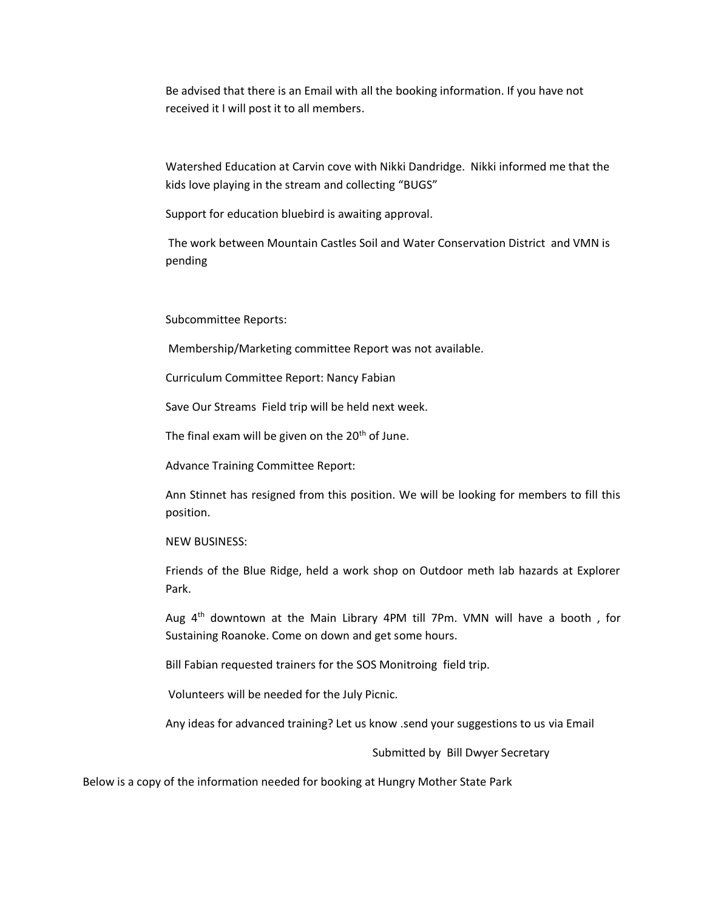Be advised that there is an Email with all the booking information. If you have not received it I will post it to all members.

Watershed Education at Carvin cove with Nikki Dandridge. Nikki informed me that the kids love playing in the stream and collecting "BUGS"

Support for education bluebird is awaiting approval.

The work between Mountain Castles Soil and Water Conservation District and VMN is pending

Subcommittee Reports:

Membership/Marketing committee Report was not available.

Curriculum Committee Report: Nancy Fabian

Save Our Streams Field trip will be held next week.

The final exam will be given on the  $20<sup>th</sup>$  of June.

Advance Training Committee Report:

Ann Stinnet has resigned from this position. We will be looking for members to fill this position.

NEW BUSINESS:

Friends of the Blue Ridge, held a work shop on Outdoor meth lab hazards at Explorer Park.

Aug 4<sup>th</sup> downtown at the Main Library 4PM till 7Pm. VMN will have a booth, for Sustaining Roanoke. Come on down and get some hours.

Bill Fabian requested trainers for the SOS Monitroing field trip.

Volunteers will be needed for the July Picnic.

Any ideas for advanced training? Let us know .send your suggestions to us via Email

Submitted by Bill Dwyer Secretary

Below is a copy of the information needed for booking at Hungry Mother State Park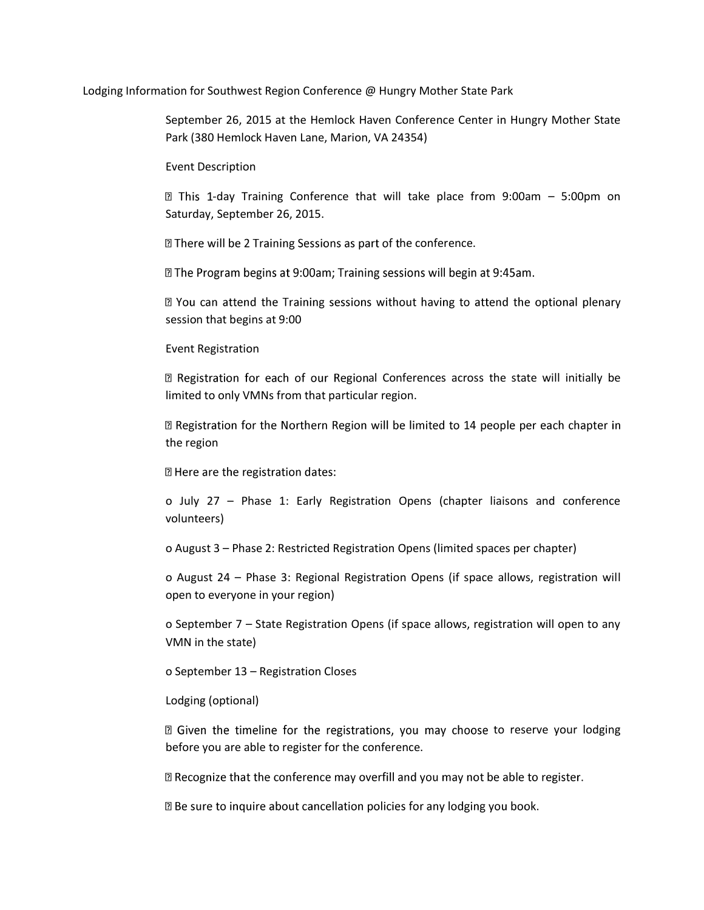Lodging Information for Southwest Region Conference @ Hungry Mother State Park

September 26, 2015 at the Hemlock Haven Conference Center in Hungry Mother State Park (380 Hemlock Haven Lane, Marion, VA 24354)

Event Description

 $\boxtimes$  This 1-day Training Conference that will take place from 9:00am – 5:00pm on Saturday, September 26, 2015.

sqrt2 There will be 2 Training Sessions as part of the conference.

sqrt2 The Program begins at 9:00am; Training sessions will begin at 9:45am.

sqrt2 You can attend the Training sessions without having to attend the optional plenary session that begins at 9:00

Event Registration

**I Registration for each of our Regional Conferences across the state will initially be** limited to only VMNs from that particular region.

**If** Registration for the Northern Region will be limited to 14 people per each chapter in the region

**E** Here are the registration dates:

o July 27 – Phase 1: Early Registration Opens (chapter liaisons and conference volunteers)

o August 3 – Phase 2: Restricted Registration Opens (limited spaces per chapter)

o August 24 – Phase 3: Regional Registration Opens (if space allows, registration will open to everyone in your region)

o September 7 – State Registration Opens (if space allows, registration will open to any VMN in the state)

o September 13 – Registration Closes

Lodging (optional)

**If** Given the timeline for the registrations, you may choose to reserve your lodging before you are able to register for the conference.

I Recognize that the conference may overfill and you may not be able to register.

**<b>n** Be sure to inquire about cancellation policies for any lodging you book.